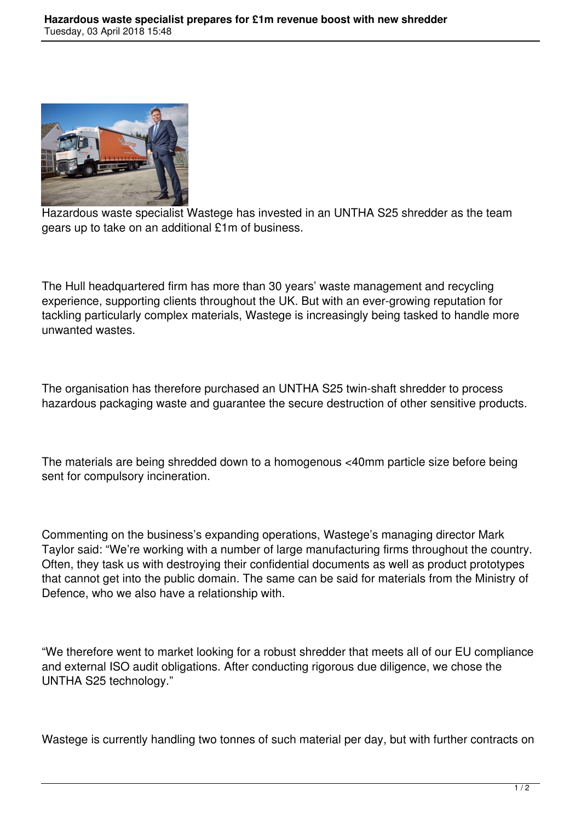

Hazardous waste specialist Wastege has invested in an UNTHA S25 shredder as the team gears up to take on an additional £1m of business.

The Hull headquartered firm has more than 30 years' waste management and recycling experience, supporting clients throughout the UK. But with an ever-growing reputation for tackling particularly complex materials, Wastege is increasingly being tasked to handle more unwanted wastes.

The organisation has therefore purchased an UNTHA S25 twin-shaft shredder to process hazardous packaging waste and guarantee the secure destruction of other sensitive products.

The materials are being shredded down to a homogenous <40mm particle size before being sent for compulsory incineration.

Commenting on the business's expanding operations, Wastege's managing director Mark Taylor said: "We're working with a number of large manufacturing firms throughout the country. Often, they task us with destroying their confidential documents as well as product prototypes that cannot get into the public domain. The same can be said for materials from the Ministry of Defence, who we also have a relationship with.

"We therefore went to market looking for a robust shredder that meets all of our EU compliance and external ISO audit obligations. After conducting rigorous due diligence, we chose the UNTHA S25 technology."

Wastege is currently handling two tonnes of such material per day, but with further contracts on